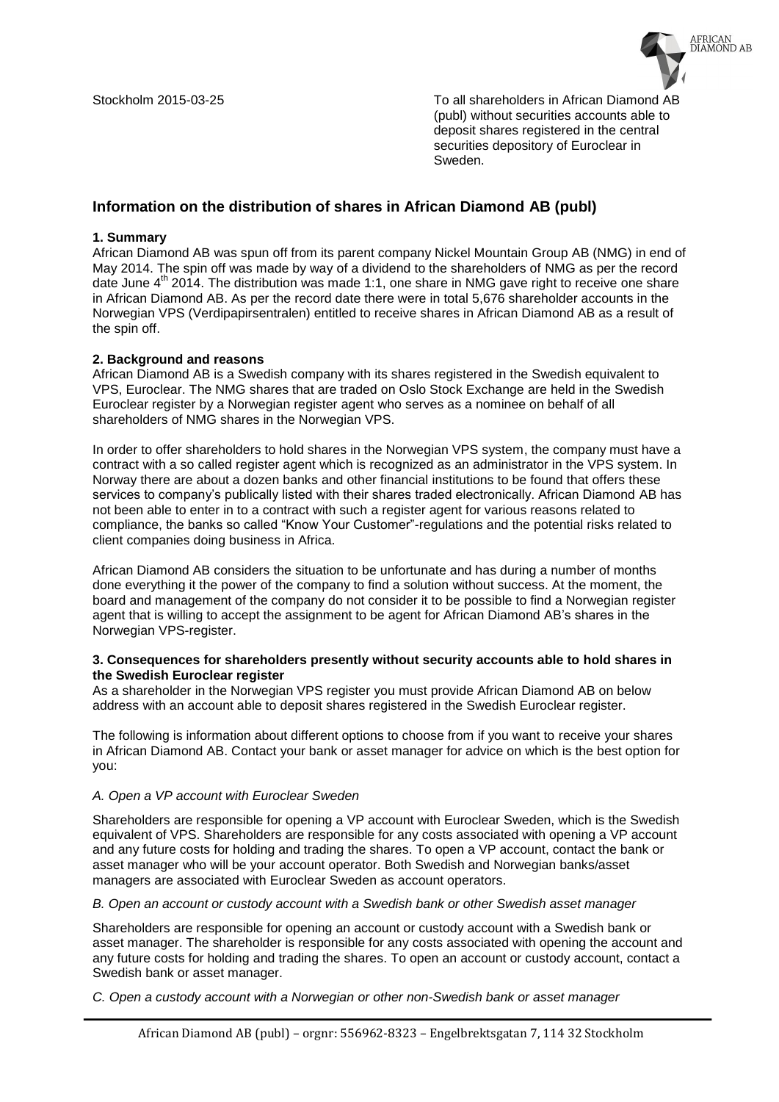

Stockholm 2015-03-25 To all shareholders in African Diamond AB (publ) without securities accounts able to deposit shares registered in the central securities depository of Euroclear in Sweden.

# **Information on the distribution of shares in African Diamond AB (publ)**

## **1. Summary**

African Diamond AB was spun off from its parent company Nickel Mountain Group AB (NMG) in end of May 2014. The spin off was made by way of a dividend to the shareholders of NMG as per the record date June  $4<sup>th</sup>$  2014. The distribution was made 1:1, one share in NMG gave right to receive one share in African Diamond AB. As per the record date there were in total 5,676 shareholder accounts in the Norwegian VPS (Verdipapirsentralen) entitled to receive shares in African Diamond AB as a result of the spin off.

## **2. Background and reasons**

African Diamond AB is a Swedish company with its shares registered in the Swedish equivalent to VPS, Euroclear. The NMG shares that are traded on Oslo Stock Exchange are held in the Swedish Euroclear register by a Norwegian register agent who serves as a nominee on behalf of all shareholders of NMG shares in the Norwegian VPS.

In order to offer shareholders to hold shares in the Norwegian VPS system, the company must have a contract with a so called register agent which is recognized as an administrator in the VPS system. In Norway there are about a dozen banks and other financial institutions to be found that offers these services to company's publically listed with their shares traded electronically. African Diamond AB has not been able to enter in to a contract with such a register agent for various reasons related to compliance, the banks so called "Know Your Customer"-regulations and the potential risks related to client companies doing business in Africa.

African Diamond AB considers the situation to be unfortunate and has during a number of months done everything it the power of the company to find a solution without success. At the moment, the board and management of the company do not consider it to be possible to find a Norwegian register agent that is willing to accept the assignment to be agent for African Diamond AB's shares in the Norwegian VPS-register.

#### **3. Consequences for shareholders presently without security accounts able to hold shares in the Swedish Euroclear register**

As a shareholder in the Norwegian VPS register you must provide African Diamond AB on below address with an account able to deposit shares registered in the Swedish Euroclear register.

The following is information about different options to choose from if you want to receive your shares in African Diamond AB. Contact your bank or asset manager for advice on which is the best option for you:

#### *A. Open a VP account with Euroclear Sweden*

Shareholders are responsible for opening a VP account with Euroclear Sweden, which is the Swedish equivalent of VPS. Shareholders are responsible for any costs associated with opening a VP account and any future costs for holding and trading the shares. To open a VP account, contact the bank or asset manager who will be your account operator. Both Swedish and Norwegian banks/asset managers are associated with Euroclear Sweden as account operators.

*B. Open an account or custody account with a Swedish bank or other Swedish asset manager*

Shareholders are responsible for opening an account or custody account with a Swedish bank or asset manager. The shareholder is responsible for any costs associated with opening the account and any future costs for holding and trading the shares. To open an account or custody account, contact a Swedish bank or asset manager.

*C. Open a custody account with a Norwegian or other non-Swedish bank or asset manager*